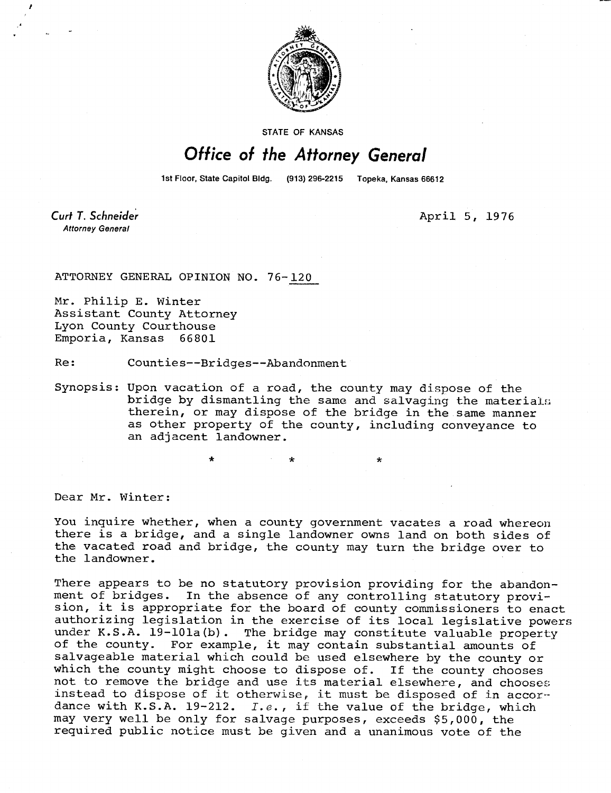

STATE OF KANSAS

## Office of the Attorney General

1st Floor, State Capitol Bldg. (913) 296-2215 Topeka, Kansas 66612

Curt T. Schneider **Attorney General** 

April 5, 1976

ATTORNEY GENERAL OPINION NO. 76-120

Mr. Philip E. Winter Assistant County Attorney Lyon County Courthouse Emporia, Kansas 66801

Re: Counties--Bridges--Abandonment

Synopsis: Upon vacation of a road, the county may dispose of the bridge by dismantling the same and salvaging the materials therein, or may dispose of the bridge in the same manner as other property of the county, including conveyance to an adjacent landowner.

Dear Mr. Winter:

You inquire whether, when a county government vacates a road whereon there is a bridge, and a single landowner owns land on both sides of the vacated road and bridge, the county may turn the bridge over to the landowner.

There appears to be no statutory provision providing for the abandon-<br>ment of bridges. In the absence of any controlling statutory provi-In the absence of any controlling statutory provision, it is appropriate for the board of county commissioners to enact authorizing legislation in the exercise of its local legislative powers under K.S.A. 19-101a(b). The bridge may constitute valuable property of the county. For example, it may contain substantial amounts of salvageable material which could be used elsewhere by the county or which the county might choose to dispose of. If the county chooses not to remove the bridge and use its material elsewhere, and chooses instead to dispose of it otherwise, it must be disposed of in accordance with K.S.A. 19-212. I.e., if the value of the bridge, which may very well be only for salvage purposes, exceeds \$5,000, the required public notice must be given and a unanimous vote of the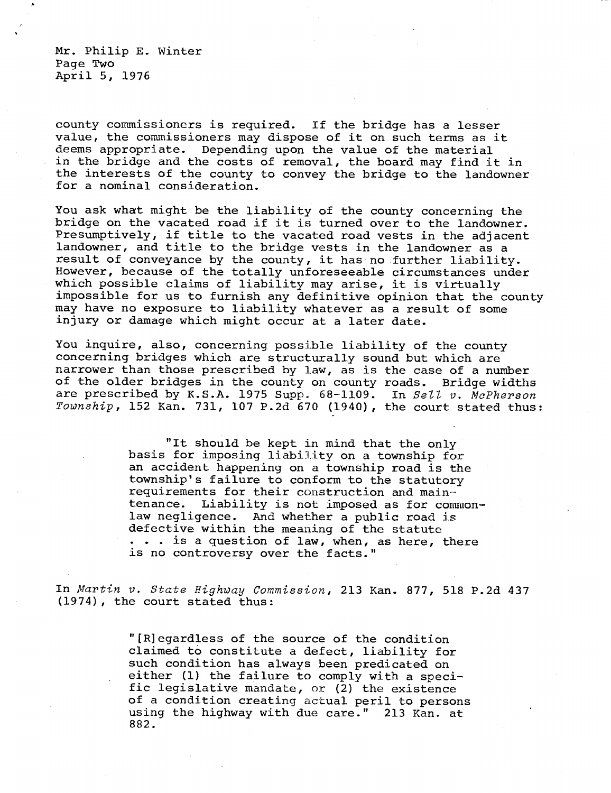Mr. Philip E. Winter Page Two April 5, 1976

county commissioners is required. If the bridge has a lesser value, the commissioners may dispose of it on such terms as it deems appropriate. Depending upon the value of the material in the bridge and the costs of removal, the board may find it in the interests of the county to convey the bridge to the landowner for a nominal consideration.

You ask what might be the liability of the county concerning the bridge on the vacated road if it is turned over to the landowner. Presumptively, if title to the vacated road vests in the adjacent landowner, and title to the bridge vests in the landowner as a result of conveyance by the county, it has no further liability. However, because of the totally unforeseeable circumstances under which possible claims of liability may arise, it is virtually impossible for us to furnish any definitive opinion that the county may have no exposure to liability whatever as a result of some injury or damage which might occur at a later date.

You inquire, also, concerning possible liability of the county concerning bridges which are structurally sound but which are narrower than those prescribed by law, as is the case of a number of the older bridges in the county on county roads. Bridge widths are prescribed by K.S.A. 1975 Supp. 68-1109. In Sell v. McPherson Township, 152 Kan. 731, 107 P.2d 670 (1940), the court stated thus:

> "It should be kept in mind that the only basis for imposing liability on a township for an accident happening on a township road is the township's failure to conform to the statutory requirements for their construction and maintenance. Liability is not imposed as for commonlaw negligence. And whether a public road is defective within the meaning of the statute . . . is a question of law, when, as here, there is no controversy over the facts."

In Martin v. State Highway Commission, 213 Kan. 877, 518 P.2d 437 (1974), the court stated thus:

> "[R]egardless of the source of the condition claimed to constitute a defect, liability for such condition has always been predicated on either (1) the failure to comply with a specific legislative mandate, or (2) the existence of a condition creating actual peril to persons using the highway with due care." 213 Kan. at 882.